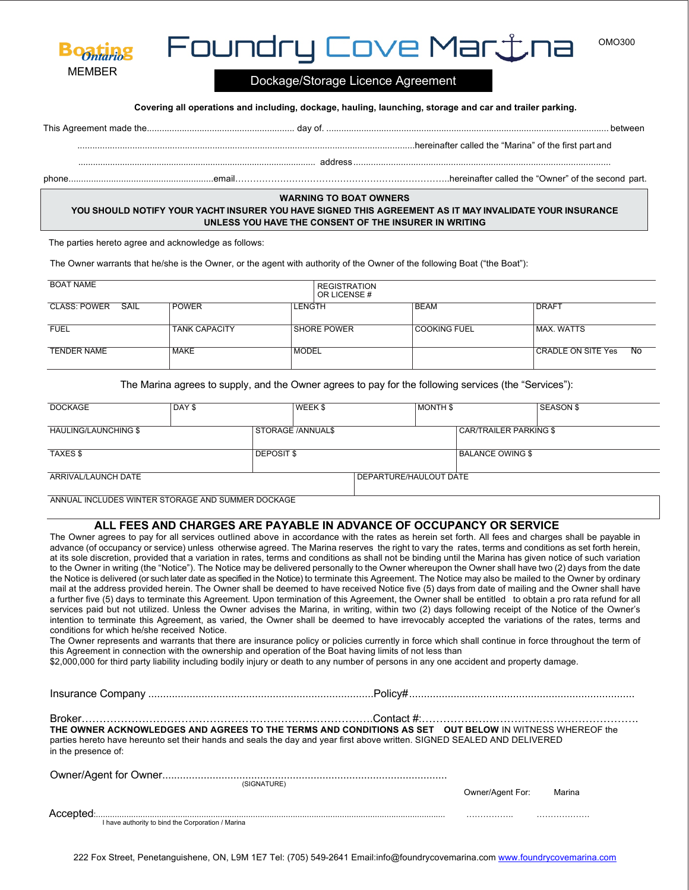

## Dockage/Storage Licence Agreement

 **Covering all operations and including, dockage, hauling, launching, storage and car and trailer parking.**

................................................................................................. address .......................................................................................................

This Agreement made the........................................................... day of. ................................................................................................................. between

.......................................................................................................................................hereinafter called the "Marina" of the first part and

OMO300

phone..........................................................email……………………………………………….……………..hereinafter called the "Owner" of the second part.

## **WARNING TO BOAT OWNERS YOU SHOULD NOTIFY YOUR YACHT INSURER YOU HAVE SIGNED THIS AGREEMENT AS IT MAY INVALIDATE YOUR INSURANCE UNLESS YOU HAVE THE CONSENT OF THE INSURER IN WRITING**

The parties hereto agree and acknowledge as follows:

The Owner warrants that he/she is the Owner, or the agent with authority of the Owner of the following Boat ("the Boat"):

| <b>BOAT NAME</b>            |                      |               | <b>REGISTRATION</b><br>OR LICENSE# |              |                              |  |  |
|-----------------------------|----------------------|---------------|------------------------------------|--------------|------------------------------|--|--|
| SAIL<br><b>CLASS: POWER</b> | <b>POWER</b>         | <b>LENGTH</b> |                                    | <b>BEAM</b>  | <b>DRAFT</b>                 |  |  |
| <b>FUEL</b>                 | <b>TANK CAPACITY</b> |               | <b>SHORE POWER</b>                 | COOKING FUEL | MAX. WATTS                   |  |  |
| <b>TENDER NAME</b>          | <b>MAKE</b>          | <b>MODEL</b>  |                                    |              | - No<br>I CRADLE ON SITE Yes |  |  |

The Marina agrees to supply, and the Owner agrees to pay for the following services (the "Services"):

| <b>DOCKAGE</b>                                           | DAY <sub>\$</sub> |                          | WEEK \$ |                        | MONTH \$                |                        | <b>SEASON \$</b> |
|----------------------------------------------------------|-------------------|--------------------------|---------|------------------------|-------------------------|------------------------|------------------|
| HAULING/LAUNCHING \$                                     |                   | <b>STORAGE /ANNUAL\$</b> |         |                        |                         | CAR/TRAILER PARKING \$ |                  |
| <b>TAXES \$</b>                                          |                   | <b>DEPOSIT \$</b>        |         |                        | <b>BALANCE OWING \$</b> |                        |                  |
| ARRIVAL/LAUNCH DATE                                      |                   |                          |         | DEPARTURE/HAULOUT DATE |                         |                        |                  |
| A LILITATION UREQ MILITER OTORA OF AND QUALITER BOOKA OF |                   |                          |         |                        |                         |                        |                  |

ANNUAL INCLUDES WINTER STORAGE AND SUMMER DOCKAGE

I have authority to bind the Corporation / Marina

## **ALL FEES AND CHARGES ARE PAYABLE IN ADVANCE OF OCCUPANCY OR SERVICE**

The Owner agrees to pay for all services outlined above in accordance with the rates as herein set forth. All fees and charges shall be payable in advance (of occupancy or service) unless otherwise agreed. The Marina reserves the right to vary the rates, terms and conditions as set forth herein, at its sole discretion, provided that a variation in rates, terms and conditions as shall not be binding until the Marina has given notice of such variation to the Owner in writing (the "Notice"). The Notice may be delivered personally to the Owner whereupon the Owner shall have two (2) days from the date the Notice is delivered (or such later date as specified in the Notice) to terminate this Agreement. The Notice may also be mailed to the Owner by ordinary mail at the address provided herein. The Owner shall be deemed to have received Notice five (5) days from date of mailing and the Owner shall have a further five (5) days to terminate this Agreement. Upon termination of this Agreement, the Owner shall be entitled to obtain a pro rata refund for all services paid but not utilized. Unless the Owner advises the Marina, in writing, within two (2) days following receipt of the Notice of the Owner's intention to terminate this Agreement, as varied, the Owner shall be deemed to have irrevocably accepted the variations of the rates, terms and conditions for which he/she received Notice. The Owner represents and warrants that there are insurance policy or policies currently in force which shall continue in force throughout the term of this Agreement in connection with the ownership and operation of the Boat having limits of not less than \$2,000,000 for third party liability including bodily injury or death to any number of persons in any one accident and property damage. Insurance Company ............................................................................Policy#............................................................................ Broker……………………………………………………………………….Contact #:……………………………………………………. **THE OWNER ACKNOWLEDGES AND AGREES TO THE TERMS AND CONDITIONS AS SET OUT BELOW** IN WITNESS WHEREOF the parties hereto have hereunto set their hands and seals the day and year first above written. SIGNED SEALED AND DELIVERED in the presence of: Owner/Agent for Owner................................................................................................ (SIGNATURE) Owner/Agent For: Marina Accepted:..................................................................................................................................................... …………….. ……………….

222 Fox Street, Penetanguishene, ON, L9M 1E7 Tel: (705) 549-2641 Email:info@foundrycovemarina.com www.foundrycovemarina.com